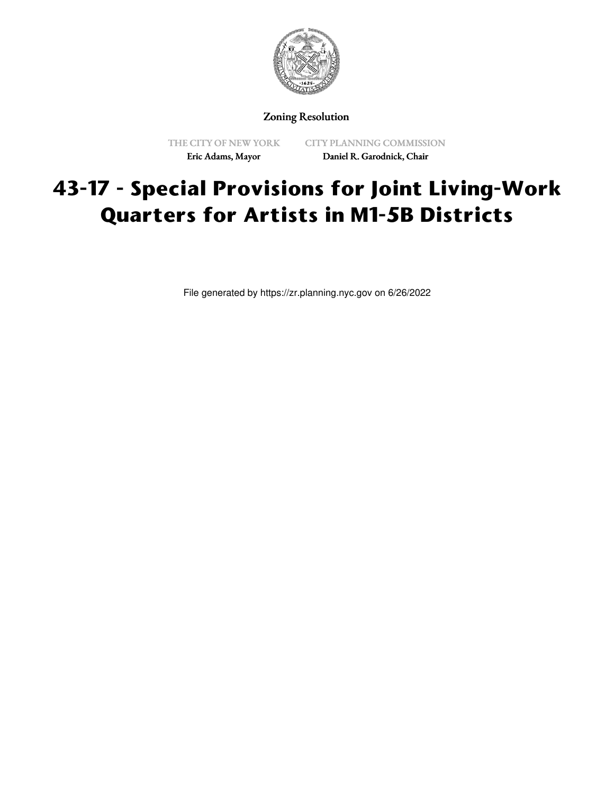

Zoning Resolution

THE CITY OF NEW YORK Eric Adams, Mayor

CITY PLANNING COMMISSION Daniel R. Garodnick, Chair

# **43-17 - Special Provisions for Joint Living-Work Quarters for Artists in M1-5B Districts**

File generated by https://zr.planning.nyc.gov on 6/26/2022